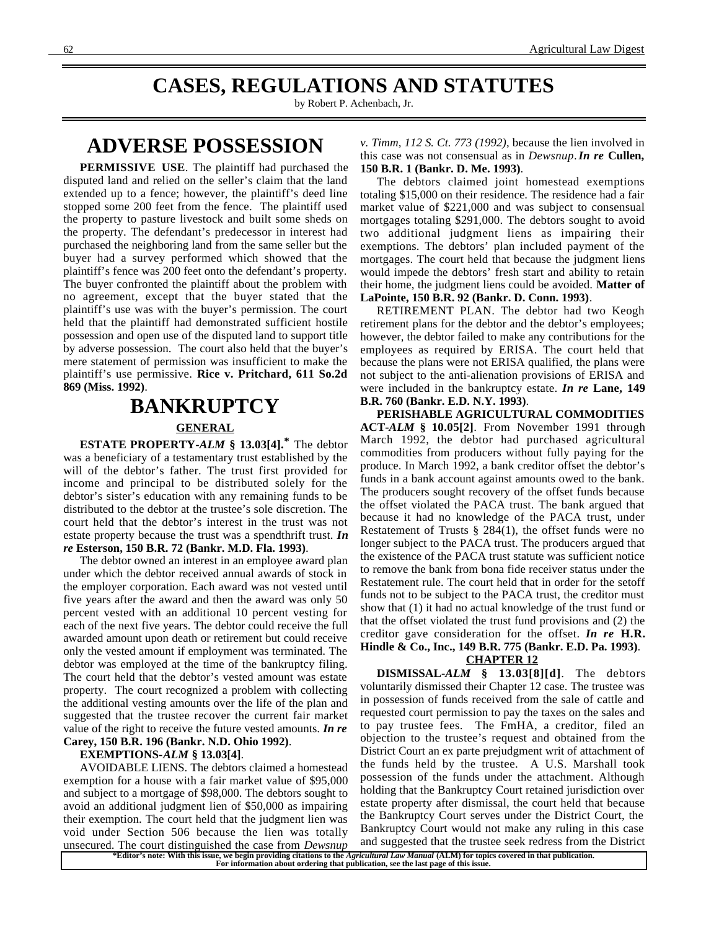### **CASES, REGULATIONS AND STATUTES**

by Robert P. Achenbach, Jr.

### **ADVERSE POSSESSION**

**PERMISSIVE USE**. The plaintiff had purchased the disputed land and relied on the seller's claim that the land extended up to a fence; however, the plaintiff's deed line stopped some 200 feet from the fence. The plaintiff used the property to pasture livestock and built some sheds on the property. The defendant's predecessor in interest had purchased the neighboring land from the same seller but the buyer had a survey performed which showed that the plaintiff's fence was 200 feet onto the defendant's property. The buyer confronted the plaintiff about the problem with no agreement, except that the buyer stated that the plaintiff's use was with the buyer's permission. The court held that the plaintiff had demonstrated sufficient hostile possession and open use of the disputed land to support title by adverse possession. The court also held that the buyer's mere statement of permission was insufficient to make the plaintiff's use permissive. **Rice v. Pritchard, 611 So.2d 869 (Miss. 1992)**.

# **BANKRUPTCY GENERAL**

**ESTATE PROPERTY-***ALM* **§ 13.03[4].\*** The debtor was a beneficiary of a testamentary trust established by the will of the debtor's father. The trust first provided for income and principal to be distributed solely for the debtor's sister's education with any remaining funds to be distributed to the debtor at the trustee's sole discretion. The court held that the debtor's interest in the trust was not estate property because the trust was a spendthrift trust. *In re* **Esterson, 150 B.R. 72 (Bankr. M.D. Fla. 1993)**.

The debtor owned an interest in an employee award plan under which the debtor received annual awards of stock in the employer corporation. Each award was not vested until five years after the award and then the award was only 50 percent vested with an additional 10 percent vesting for each of the next five years. The debtor could receive the full awarded amount upon death or retirement but could receive only the vested amount if employment was terminated. The debtor was employed at the time of the bankruptcy filing. The court held that the debtor's vested amount was estate property. The court recognized a problem with collecting the additional vesting amounts over the life of the plan and suggested that the trustee recover the current fair market value of the right to receive the future vested amounts. *In re* **Carey, 150 B.R. 196 (Bankr. N.D. Ohio 1992)**.

#### **EXEMPTIONS-***ALM* **§ 13.03[4]**.

AVOIDABLE LIENS. The debtors claimed a homestead exemption for a house with a fair market value of \$95,000 and subject to a mortgage of \$98,000. The debtors sought to avoid an additional judgment lien of \$50,000 as impairing their exemption. The court held that the judgment lien was void under Section 506 because the lien was totally unsecured. The court distinguished the case from *Dewsnup*

*v. Timm, 112 S. Ct. 773 (1992)*, because the lien involved in this case was not consensual as in *Dewsnup*. *In re* **Cullen, 150 B.R. 1 (Bankr. D. Me. 1993)**.

The debtors claimed joint homestead exemptions totaling \$15,000 on their residence. The residence had a fair market value of \$221,000 and was subject to consensual mortgages totaling \$291,000. The debtors sought to avoid two additional judgment liens as impairing their exemptions. The debtors' plan included payment of the mortgages. The court held that because the judgment liens would impede the debtors' fresh start and ability to retain their home, the judgment liens could be avoided. **Matter of LaPointe, 150 B.R. 92 (Bankr. D. Conn. 1993)**.

RETIREMENT PLAN. The debtor had two Keogh retirement plans for the debtor and the debtor's employees; however, the debtor failed to make any contributions for the employees as required by ERISA. The court held that because the plans were not ERISA qualified, the plans were not subject to the anti-alienation provisions of ERISA and were included in the bankruptcy estate. *In re* **Lane, 149 B.R. 760 (Bankr. E.D. N.Y. 1993)**.

**PERISHABLE AGRICULTURAL COMMODITIES ACT-***ALM* **§ 10.05[2]**. From November 1991 through March 1992, the debtor had purchased agricultural commodities from producers without fully paying for the produce. In March 1992, a bank creditor offset the debtor's funds in a bank account against amounts owed to the bank. The producers sought recovery of the offset funds because the offset violated the PACA trust. The bank argued that because it had no knowledge of the PACA trust, under Restatement of Trusts § 284(1), the offset funds were no longer subject to the PACA trust. The producers argued that the existence of the PACA trust statute was sufficient notice to remove the bank from bona fide receiver status under the Restatement rule. The court held that in order for the setoff funds not to be subject to the PACA trust, the creditor must show that (1) it had no actual knowledge of the trust fund or that the offset violated the trust fund provisions and (2) the creditor gave consideration for the offset. *In re* **H.R. Hindle & Co., Inc., 149 B.R. 775 (Bankr. E.D. Pa. 1993)**.

 **CHAPTER 12** 

**DISMISSAL-***ALM* **§ 13.03[8][d]**. The debtors voluntarily dismissed their Chapter 12 case. The trustee was in possession of funds received from the sale of cattle and requested court permission to pay the taxes on the sales and to pay trustee fees. The FmHA, a creditor, filed an objection to the trustee's request and obtained from the District Court an ex parte prejudgment writ of attachment of the funds held by the trustee. A U.S. Marshall took possession of the funds under the attachment. Although holding that the Bankruptcy Court retained jurisdiction over estate property after dismissal, the court held that because the Bankruptcy Court serves under the District Court, the Bankruptcy Court would not make any ruling in this case and suggested that the trustee seek redress from the District

**\*Editor's note: With this issue, we begin providing citations to the** *Agricultural Law Manual* **(ALM) for topics covered in that publication. For information about ordering that publication, see the last page of this issue.**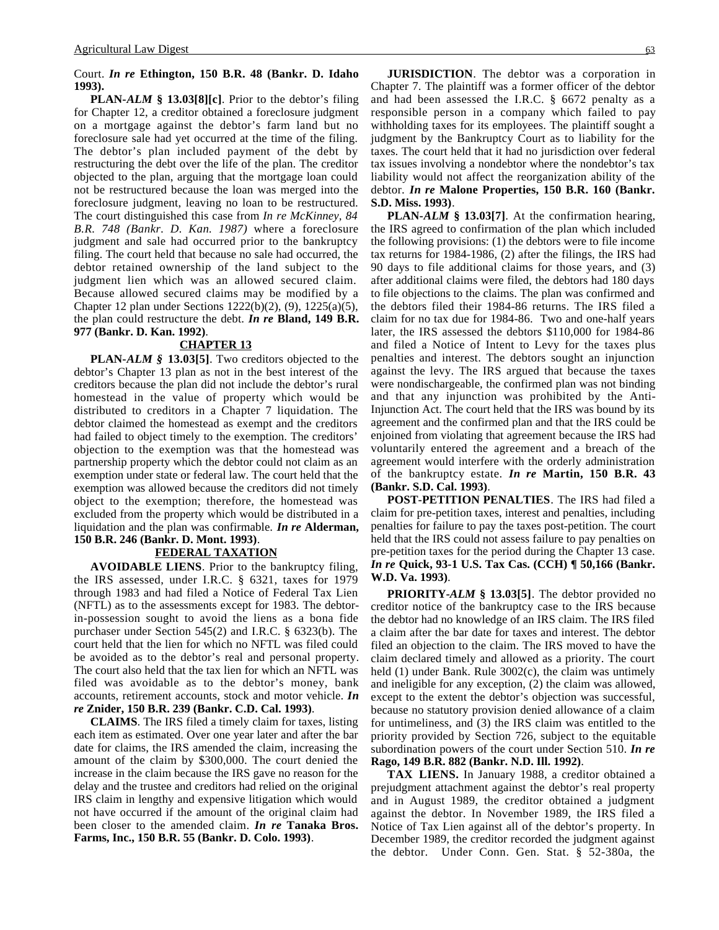#### Court. *In re* **Ethington, 150 B.R. 48 (Bankr. D. Idaho 1993).**

**PLAN-***ALM* **§ 13.03[8][c]**. Prior to the debtor's filing for Chapter 12, a creditor obtained a foreclosure judgment on a mortgage against the debtor's farm land but no foreclosure sale had yet occurred at the time of the filing. The debtor's plan included payment of the debt by restructuring the debt over the life of the plan. The creditor objected to the plan, arguing that the mortgage loan could not be restructured because the loan was merged into the foreclosure judgment, leaving no loan to be restructured. The court distinguished this case from *In re McKinney, 84 B.R. 748 (Bankr. D. Kan. 1987)* where a foreclosure judgment and sale had occurred prior to the bankruptcy filing. The court held that because no sale had occurred, the debtor retained ownership of the land subject to the judgment lien which was an allowed secured claim. Because allowed secured claims may be modified by a Chapter 12 plan under Sections 1222(b)(2), (9), 1225(a)(5), the plan could restructure the debt. *In re* **Bland, 149 B.R. 977 (Bankr. D. Kan. 1992)**.

#### **CHAPTER 13**

**PLAN-***ALM §* **13.03[5]**. Two creditors objected to the debtor's Chapter 13 plan as not in the best interest of the creditors because the plan did not include the debtor's rural homestead in the value of property which would be distributed to creditors in a Chapter 7 liquidation. The debtor claimed the homestead as exempt and the creditors had failed to object timely to the exemption. The creditors' objection to the exemption was that the homestead was partnership property which the debtor could not claim as an exemption under state or federal law. The court held that the exemption was allowed because the creditors did not timely object to the exemption; therefore, the homestead was excluded from the property which would be distributed in a liquidation and the plan was confirmable. *In re* **Alderman, 150 B.R. 246 (Bankr. D. Mont. 1993)**.

#### **FEDERAL TAXATION**

**AVOIDABLE LIENS**. Prior to the bankruptcy filing, the IRS assessed, under I.R.C. § 6321, taxes for 1979 through 1983 and had filed a Notice of Federal Tax Lien (NFTL) as to the assessments except for 1983. The debtorin-possession sought to avoid the liens as a bona fide purchaser under Section 545(2) and I.R.C. § 6323(b). The court held that the lien for which no NFTL was filed could be avoided as to the debtor's real and personal property. The court also held that the tax lien for which an NFTL was filed was avoidable as to the debtor's money, bank accounts, retirement accounts, stock and motor vehicle. *In re* **Znider, 150 B.R. 239 (Bankr. C.D. Cal. 1993)**.

**CLAIMS**. The IRS filed a timely claim for taxes, listing each item as estimated. Over one year later and after the bar date for claims, the IRS amended the claim, increasing the amount of the claim by \$300,000. The court denied the increase in the claim because the IRS gave no reason for the delay and the trustee and creditors had relied on the original IRS claim in lengthy and expensive litigation which would not have occurred if the amount of the original claim had been closer to the amended claim. *In re* **Tanaka Bros. Farms, Inc., 150 B.R. 55 (Bankr. D. Colo. 1993)**.

**JURISDICTION**. The debtor was a corporation in Chapter 7. The plaintiff was a former officer of the debtor and had been assessed the I.R.C. § 6672 penalty as a responsible person in a company which failed to pay withholding taxes for its employees. The plaintiff sought a judgment by the Bankruptcy Court as to liability for the taxes. The court held that it had no jurisdiction over federal tax issues involving a nondebtor where the nondebtor's tax liability would not affect the reorganization ability of the debtor. *In re* **Malone Properties, 150 B.R. 160 (Bankr. S.D. Miss. 1993)**.

**PLAN-***ALM* **§ 13.03[7]**. At the confirmation hearing, the IRS agreed to confirmation of the plan which included the following provisions: (1) the debtors were to file income tax returns for 1984-1986, (2) after the filings, the IRS had 90 days to file additional claims for those years, and (3) after additional claims were filed, the debtors had 180 days to file objections to the claims. The plan was confirmed and the debtors filed their 1984-86 returns. The IRS filed a claim for no tax due for 1984-86. Two and one-half years later, the IRS assessed the debtors \$110,000 for 1984-86 and filed a Notice of Intent to Levy for the taxes plus penalties and interest. The debtors sought an injunction against the levy. The IRS argued that because the taxes were nondischargeable, the confirmed plan was not binding and that any injunction was prohibited by the Anti-Injunction Act. The court held that the IRS was bound by its agreement and the confirmed plan and that the IRS could be enjoined from violating that agreement because the IRS had voluntarily entered the agreement and a breach of the agreement would interfere with the orderly administration of the bankruptcy estate. *In re* **Martin, 150 B.R. 43 (Bankr. S.D. Cal. 1993)**.

**POST-PETITION PENALTIES**. The IRS had filed a claim for pre-petition taxes, interest and penalties, including penalties for failure to pay the taxes post-petition. The court held that the IRS could not assess failure to pay penalties on pre-petition taxes for the period during the Chapter 13 case. *In re* **Quick, 93-1 U.S. Tax Cas. (CCH) ¶ 50,166 (Bankr. W.D. Va. 1993)**.

**PRIORITY-***ALM* **§ 13.03[5]**. The debtor provided no creditor notice of the bankruptcy case to the IRS because the debtor had no knowledge of an IRS claim. The IRS filed a claim after the bar date for taxes and interest. The debtor filed an objection to the claim. The IRS moved to have the claim declared timely and allowed as a priority. The court held (1) under Bank. Rule 3002(c), the claim was untimely and ineligible for any exception, (2) the claim was allowed, except to the extent the debtor's objection was successful, because no statutory provision denied allowance of a claim for untimeliness, and (3) the IRS claim was entitled to the priority provided by Section 726, subject to the equitable subordination powers of the court under Section 510. *In re* **Rago, 149 B.R. 882 (Bankr. N.D. Ill. 1992)**.

**TAX LIENS.** In January 1988, a creditor obtained a prejudgment attachment against the debtor's real property and in August 1989, the creditor obtained a judgment against the debtor. In November 1989, the IRS filed a Notice of Tax Lien against all of the debtor's property. In December 1989, the creditor recorded the judgment against the debtor. Under Conn. Gen. Stat. § 52-380a, the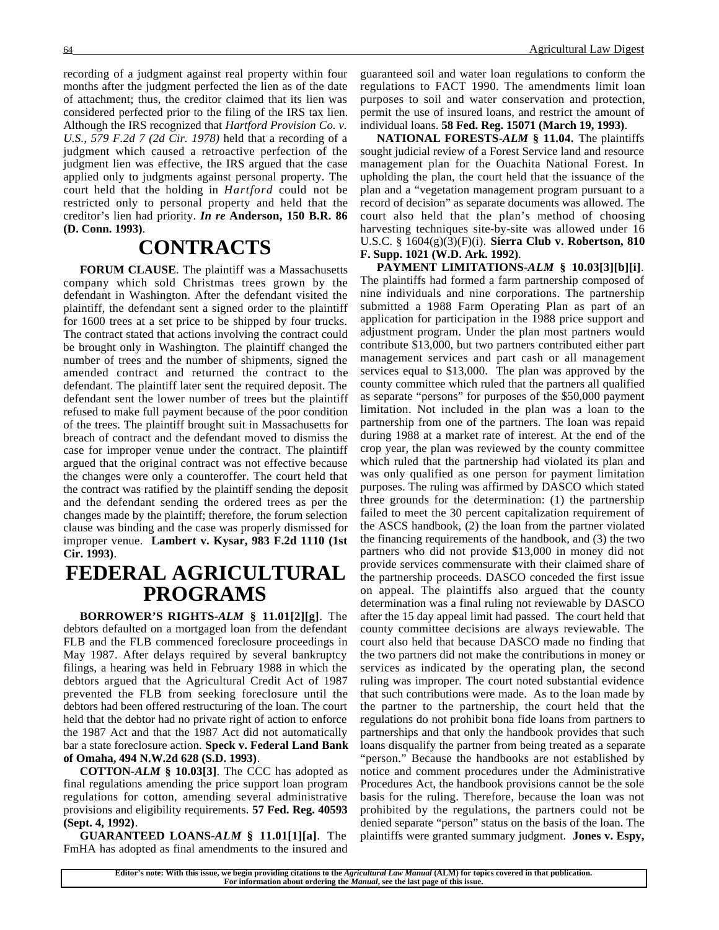recording of a judgment against real property within four months after the judgment perfected the lien as of the date of attachment; thus, the creditor claimed that its lien was considered perfected prior to the filing of the IRS tax lien. Although the IRS recognized that *Hartford Provision Co. v. U.S., 579 F.2d 7 (2d Cir. 1978)* held that a recording of a judgment which caused a retroactive perfection of the judgment lien was effective, the IRS argued that the case applied only to judgments against personal property. The court held that the holding in *Hartford* could not be restricted only to personal property and held that the creditor's lien had priority. *In re* **Anderson, 150 B.R. 86 (D. Conn. 1993)**.

### **CONTRACTS**

**FORUM CLAUSE**. The plaintiff was a Massachusetts company which sold Christmas trees grown by the defendant in Washington. After the defendant visited the plaintiff, the defendant sent a signed order to the plaintiff for 1600 trees at a set price to be shipped by four trucks. The contract stated that actions involving the contract could be brought only in Washington. The plaintiff changed the number of trees and the number of shipments, signed the amended contract and returned the contract to the defendant. The plaintiff later sent the required deposit. The defendant sent the lower number of trees but the plaintiff refused to make full payment because of the poor condition of the trees. The plaintiff brought suit in Massachusetts for breach of contract and the defendant moved to dismiss the case for improper venue under the contract. The plaintiff argued that the original contract was not effective because the changes were only a counteroffer. The court held that the contract was ratified by the plaintiff sending the deposit and the defendant sending the ordered trees as per the changes made by the plaintiff; therefore, the forum selection clause was binding and the case was properly dismissed for improper venue. **Lambert v. Kysar, 983 F.2d 1110 (1st Cir. 1993)**.

### **FEDERAL AGRICULTURAL PROGRAMS**

**BORROWER'S RIGHTS-***ALM* **§ 11.01[2][g]**. The debtors defaulted on a mortgaged loan from the defendant FLB and the FLB commenced foreclosure proceedings in May 1987. After delays required by several bankruptcy filings, a hearing was held in February 1988 in which the debtors argued that the Agricultural Credit Act of 1987 prevented the FLB from seeking foreclosure until the debtors had been offered restructuring of the loan. The court held that the debtor had no private right of action to enforce the 1987 Act and that the 1987 Act did not automatically bar a state foreclosure action. **Speck v. Federal Land Bank of Omaha, 494 N.W.2d 628 (S.D. 1993)**.

**COTTON-***ALM* **§ 10.03[3]**. The CCC has adopted as final regulations amending the price support loan program regulations for cotton, amending several administrative provisions and eligibility requirements. **57 Fed. Reg. 40593 (Sept. 4, 1992)**.

**GUARANTEED LOANS-***ALM* **§ 11.01[1][a]**. The FmHA has adopted as final amendments to the insured and guaranteed soil and water loan regulations to conform the regulations to FACT 1990. The amendments limit loan purposes to soil and water conservation and protection, permit the use of insured loans, and restrict the amount of individual loans. **58 Fed. Reg. 15071 (March 19, 1993)**.

**NATIONAL FORESTS-***ALM* **§ 11.04.** The plaintiffs sought judicial review of a Forest Service land and resource management plan for the Ouachita National Forest. In upholding the plan, the court held that the issuance of the plan and a "vegetation management program pursuant to a record of decision" as separate documents was allowed. The court also held that the plan's method of choosing harvesting techniques site-by-site was allowed under 16 U.S.C. § 1604(g)(3)(F)(i). **Sierra Club v. Robertson, 810 F. Supp. 1021 (W.D. Ark. 1992)**.

**PAYMENT LIMITATIONS-***ALM* **§ 10.03[3][b][i]**. The plaintiffs had formed a farm partnership composed of nine individuals and nine corporations. The partnership submitted a 1988 Farm Operating Plan as part of an application for participation in the 1988 price support and adjustment program. Under the plan most partners would contribute \$13,000, but two partners contributed either part management services and part cash or all management services equal to \$13,000. The plan was approved by the county committee which ruled that the partners all qualified as separate "persons" for purposes of the \$50,000 payment limitation. Not included in the plan was a loan to the partnership from one of the partners. The loan was repaid during 1988 at a market rate of interest. At the end of the crop year, the plan was reviewed by the county committee which ruled that the partnership had violated its plan and was only qualified as one person for payment limitation purposes. The ruling was affirmed by DASCO which stated three grounds for the determination: (1) the partnership failed to meet the 30 percent capitalization requirement of the ASCS handbook, (2) the loan from the partner violated the financing requirements of the handbook, and (3) the two partners who did not provide \$13,000 in money did not provide services commensurate with their claimed share of the partnership proceeds. DASCO conceded the first issue on appeal. The plaintiffs also argued that the county determination was a final ruling not reviewable by DASCO after the 15 day appeal limit had passed. The court held that county committee decisions are always reviewable. The court also held that because DASCO made no finding that the two partners did not make the contributions in money or services as indicated by the operating plan, the second ruling was improper. The court noted substantial evidence that such contributions were made. As to the loan made by the partner to the partnership, the court held that the regulations do not prohibit bona fide loans from partners to partnerships and that only the handbook provides that such loans disqualify the partner from being treated as a separate "person." Because the handbooks are not established by notice and comment procedures under the Administrative Procedures Act, the handbook provisions cannot be the sole basis for the ruling. Therefore, because the loan was not prohibited by the regulations, the partners could not be denied separate "person" status on the basis of the loan. The plaintiffs were granted summary judgment. **Jones v. Espy,**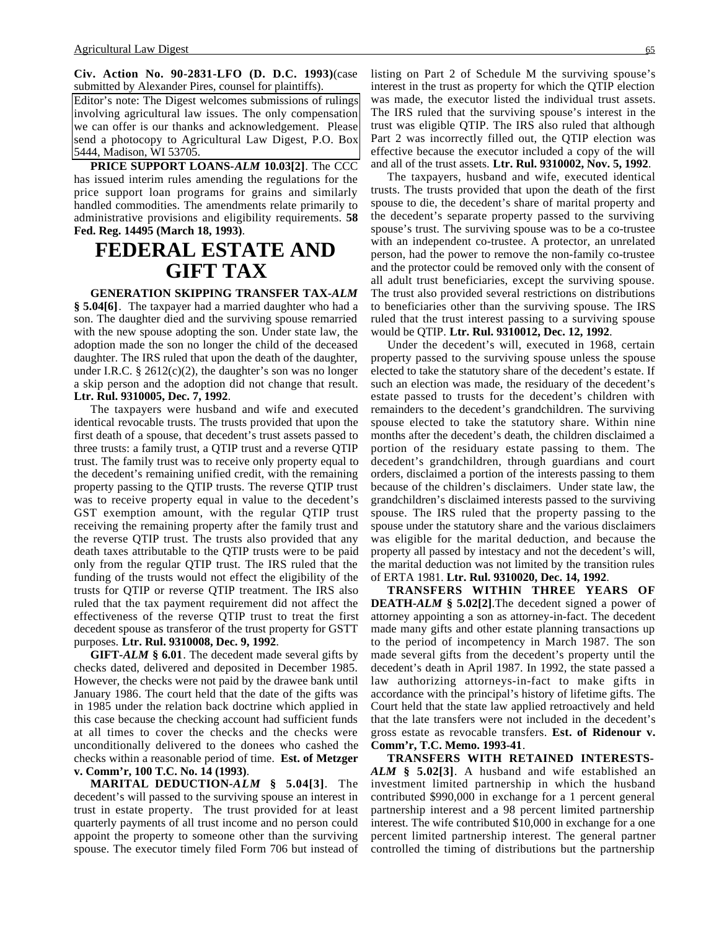**Civ. Action No. 90-2831-LFO (D. D.C. 1993)**(case submitted by Alexander Pires, counsel for plaintiffs).

Editor's note: The Digest welcomes submissions of rulings involving agricultural law issues. The only compensation we can offer is our thanks and acknowledgement. Please send a photocopy to Agricultural Law Digest, P.O. Box 5444, Madison, WI 53705.

**PRICE SUPPORT LOANS-***ALM* **10.03[2]**. The CCC has issued interim rules amending the regulations for the price support loan programs for grains and similarly handled commodities. The amendments relate primarily to administrative provisions and eligibility requirements. **58 Fed. Reg. 14495 (March 18, 1993)**.

### **FEDERAL ESTATE AND GIFT TAX**

#### **GENERATION SKIPPING TRANSFER TAX-***ALM*

**§ 5.04[6]**. The taxpayer had a married daughter who had a son. The daughter died and the surviving spouse remarried with the new spouse adopting the son. Under state law, the adoption made the son no longer the child of the deceased daughter. The IRS ruled that upon the death of the daughter, under I.R.C.  $\S 2612(c)(2)$ , the daughter's son was no longer a skip person and the adoption did not change that result. **Ltr. Rul. 9310005, Dec. 7, 1992**.

The taxpayers were husband and wife and executed identical revocable trusts. The trusts provided that upon the first death of a spouse, that decedent's trust assets passed to three trusts: a family trust, a QTIP trust and a reverse QTIP trust. The family trust was to receive only property equal to the decedent's remaining unified credit, with the remaining property passing to the QTIP trusts. The reverse QTIP trust was to receive property equal in value to the decedent's GST exemption amount, with the regular QTIP trust receiving the remaining property after the family trust and the reverse QTIP trust. The trusts also provided that any death taxes attributable to the QTIP trusts were to be paid only from the regular QTIP trust. The IRS ruled that the funding of the trusts would not effect the eligibility of the trusts for QTIP or reverse QTIP treatment. The IRS also ruled that the tax payment requirement did not affect the effectiveness of the reverse QTIP trust to treat the first decedent spouse as transferor of the trust property for GSTT purposes. **Ltr. Rul. 9310008, Dec. 9, 1992**.

**GIFT-***ALM* **§ 6.01**. The decedent made several gifts by checks dated, delivered and deposited in December 1985. However, the checks were not paid by the drawee bank until January 1986. The court held that the date of the gifts was in 1985 under the relation back doctrine which applied in this case because the checking account had sufficient funds at all times to cover the checks and the checks were unconditionally delivered to the donees who cashed the checks within a reasonable period of time. **Est. of Metzger v. Comm'r, 100 T.C. No. 14 (1993)**.

**MARITAL DEDUCTION-***ALM* **§ 5.04[3]**. The decedent's will passed to the surviving spouse an interest in trust in estate property. The trust provided for at least quarterly payments of all trust income and no person could appoint the property to someone other than the surviving spouse. The executor timely filed Form 706 but instead of

listing on Part 2 of Schedule M the surviving spouse's interest in the trust as property for which the QTIP election was made, the executor listed the individual trust assets. The IRS ruled that the surviving spouse's interest in the trust was eligible QTIP. The IRS also ruled that although Part 2 was incorrectly filled out, the QTIP election was effective because the executor included a copy of the will and all of the trust assets. **Ltr. Rul. 9310002, Nov. 5, 1992**.

The taxpayers, husband and wife, executed identical trusts. The trusts provided that upon the death of the first spouse to die, the decedent's share of marital property and the decedent's separate property passed to the surviving spouse's trust. The surviving spouse was to be a co-trustee with an independent co-trustee. A protector, an unrelated person, had the power to remove the non-family co-trustee and the protector could be removed only with the consent of all adult trust beneficiaries, except the surviving spouse. The trust also provided several restrictions on distributions to beneficiaries other than the surviving spouse. The IRS ruled that the trust interest passing to a surviving spouse would be QTIP. **Ltr. Rul. 9310012, Dec. 12, 1992**.

Under the decedent's will, executed in 1968, certain property passed to the surviving spouse unless the spouse elected to take the statutory share of the decedent's estate. If such an election was made, the residuary of the decedent's estate passed to trusts for the decedent's children with remainders to the decedent's grandchildren. The surviving spouse elected to take the statutory share. Within nine months after the decedent's death, the children disclaimed a portion of the residuary estate passing to them. The decedent's grandchildren, through guardians and court orders, disclaimed a portion of the interests passing to them because of the children's disclaimers. Under state law, the grandchildren's disclaimed interests passed to the surviving spouse. The IRS ruled that the property passing to the spouse under the statutory share and the various disclaimers was eligible for the marital deduction, and because the property all passed by intestacy and not the decedent's will, the marital deduction was not limited by the transition rules of ERTA 1981. **Ltr. Rul. 9310020, Dec. 14, 1992**.

**TRANSFERS WITHIN THREE YEARS OF DEATH-***ALM* **§ 5.02[2]**.The decedent signed a power of attorney appointing a son as attorney-in-fact. The decedent made many gifts and other estate planning transactions up to the period of incompetency in March 1987. The son made several gifts from the decedent's property until the decedent's death in April 1987. In 1992, the state passed a law authorizing attorneys-in-fact to make gifts in accordance with the principal's history of lifetime gifts. The Court held that the state law applied retroactively and held that the late transfers were not included in the decedent's gross estate as revocable transfers. **Est. of Ridenour v. Comm'r, T.C. Memo. 1993-41**.

**TRANSFERS WITH RETAINED INTERESTS-***ALM* **§ 5.02[3]**. A husband and wife established an investment limited partnership in which the husband contributed \$990,000 in exchange for a 1 percent general partnership interest and a 98 percent limited partnership interest. The wife contributed \$10,000 in exchange for a one percent limited partnership interest. The general partner controlled the timing of distributions but the partnership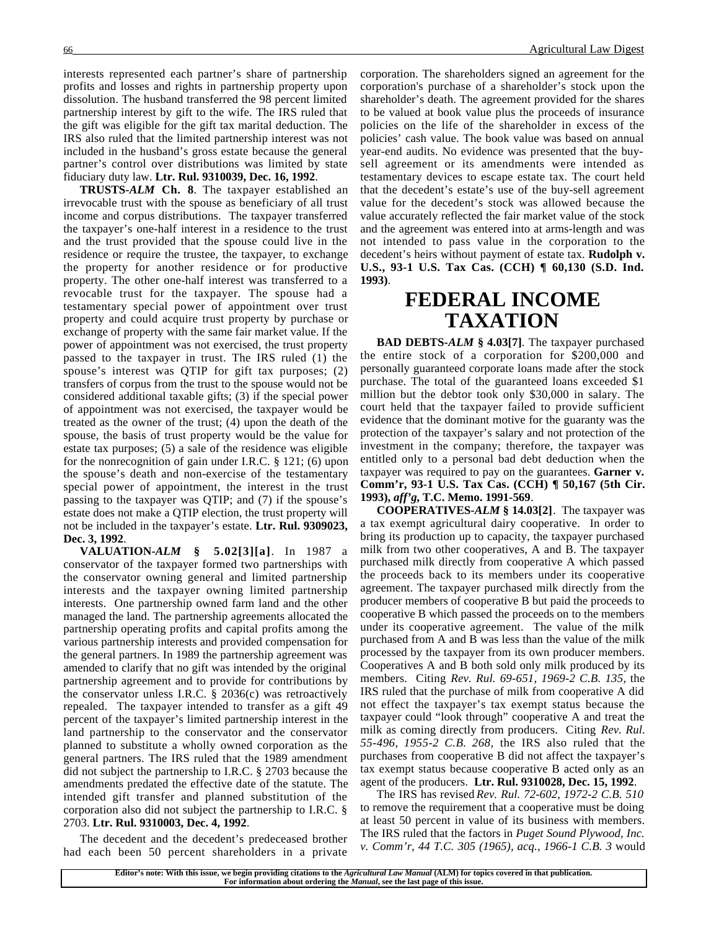interests represented each partner's share of partnership profits and losses and rights in partnership property upon dissolution. The husband transferred the 98 percent limited partnership interest by gift to the wife. The IRS ruled that the gift was eligible for the gift tax marital deduction. The IRS also ruled that the limited partnership interest was not included in the husband's gross estate because the general partner's control over distributions was limited by state fiduciary duty law. **Ltr. Rul. 9310039, Dec. 16, 1992**.

**TRUSTS-***ALM* **Ch. 8**. The taxpayer established an irrevocable trust with the spouse as beneficiary of all trust income and corpus distributions. The taxpayer transferred the taxpayer's one-half interest in a residence to the trust and the trust provided that the spouse could live in the residence or require the trustee, the taxpayer, to exchange the property for another residence or for productive property. The other one-half interest was transferred to a revocable trust for the taxpayer. The spouse had a testamentary special power of appointment over trust property and could acquire trust property by purchase or exchange of property with the same fair market value. If the power of appointment was not exercised, the trust property passed to the taxpayer in trust. The IRS ruled (1) the spouse's interest was QTIP for gift tax purposes; (2) transfers of corpus from the trust to the spouse would not be considered additional taxable gifts; (3) if the special power of appointment was not exercised, the taxpayer would be treated as the owner of the trust; (4) upon the death of the spouse, the basis of trust property would be the value for estate tax purposes; (5) a sale of the residence was eligible for the nonrecognition of gain under I.R.C. § 121; (6) upon the spouse's death and non-exercise of the testamentary special power of appointment, the interest in the trust passing to the taxpayer was QTIP; and (7) if the spouse's estate does not make a QTIP election, the trust property will not be included in the taxpayer's estate. **Ltr. Rul. 9309023, Dec. 3, 1992**.

**VALUATION-***ALM* **§ 5.02[3][a]**. In 1987 a conservator of the taxpayer formed two partnerships with the conservator owning general and limited partnership interests and the taxpayer owning limited partnership interests. One partnership owned farm land and the other managed the land. The partnership agreements allocated the partnership operating profits and capital profits among the various partnership interests and provided compensation for the general partners. In 1989 the partnership agreement was amended to clarify that no gift was intended by the original partnership agreement and to provide for contributions by the conservator unless I.R.C. § 2036(c) was retroactively repealed. The taxpayer intended to transfer as a gift 49 percent of the taxpayer's limited partnership interest in the land partnership to the conservator and the conservator planned to substitute a wholly owned corporation as the general partners. The IRS ruled that the 1989 amendment did not subject the partnership to I.R.C. § 2703 because the amendments predated the effective date of the statute. The intended gift transfer and planned substitution of the corporation also did not subject the partnership to I.R.C. § 2703. **Ltr. Rul. 9310003, Dec. 4, 1992**.

The decedent and the decedent's predeceased brother had each been 50 percent shareholders in a private corporation. The shareholders signed an agreement for the corporation's purchase of a shareholder's stock upon the shareholder's death. The agreement provided for the shares to be valued at book value plus the proceeds of insurance policies on the life of the shareholder in excess of the policies' cash value. The book value was based on annual year-end audits. No evidence was presented that the buysell agreement or its amendments were intended as testamentary devices to escape estate tax. The court held that the decedent's estate's use of the buy-sell agreement value for the decedent's stock was allowed because the value accurately reflected the fair market value of the stock and the agreement was entered into at arms-length and was not intended to pass value in the corporation to the decedent's heirs without payment of estate tax. **Rudolph v. U.S., 93-1 U.S. Tax Cas. (CCH) ¶ 60,130 (S.D. Ind. 1993)**.

### **FEDERAL INCOME TAXATION**

**BAD DEBTS-***ALM* **§ 4.03[7]**. The taxpayer purchased the entire stock of a corporation for \$200,000 and personally guaranteed corporate loans made after the stock purchase. The total of the guaranteed loans exceeded \$1 million but the debtor took only \$30,000 in salary. The court held that the taxpayer failed to provide sufficient evidence that the dominant motive for the guaranty was the protection of the taxpayer's salary and not protection of the investment in the company; therefore, the taxpayer was entitled only to a personal bad debt deduction when the taxpayer was required to pay on the guarantees. **Garner v. Comm'r, 93-1 U.S. Tax Cas. (CCH) ¶ 50,167 (5th Cir. 1993),** *aff'g***, T.C. Memo. 1991-569**.

**COOPERATIVES-***ALM* **§ 14.03[2]**. The taxpayer was a tax exempt agricultural dairy cooperative. In order to bring its production up to capacity, the taxpayer purchased milk from two other cooperatives, A and B. The taxpayer purchased milk directly from cooperative A which passed the proceeds back to its members under its cooperative agreement. The taxpayer purchased milk directly from the producer members of cooperative B but paid the proceeds to cooperative B which passed the proceeds on to the members under its cooperative agreement. The value of the milk purchased from A and B was less than the value of the milk processed by the taxpayer from its own producer members. Cooperatives A and B both sold only milk produced by its members. Citing *Rev. Rul. 69-651, 1969-2 C.B. 135*, the IRS ruled that the purchase of milk from cooperative A did not effect the taxpayer's tax exempt status because the taxpayer could "look through" cooperative A and treat the milk as coming directly from producers. Citing *Rev. Rul. 55-496, 1955-2 C.B. 268*, the IRS also ruled that the purchases from cooperative B did not affect the taxpayer's tax exempt status because cooperative B acted only as an agent of the producers. **Ltr. Rul. 9310028, Dec. 15, 1992**.

The IRS has revised *Rev. Rul. 72-602, 1972-2 C.B. 510* to remove the requirement that a cooperative must be doing at least 50 percent in value of its business with members. The IRS ruled that the factors in *Puget Sound Plywood, Inc. v. Comm'r, 44 T.C. 305 (1965), acq., 1966-1 C.B. 3* would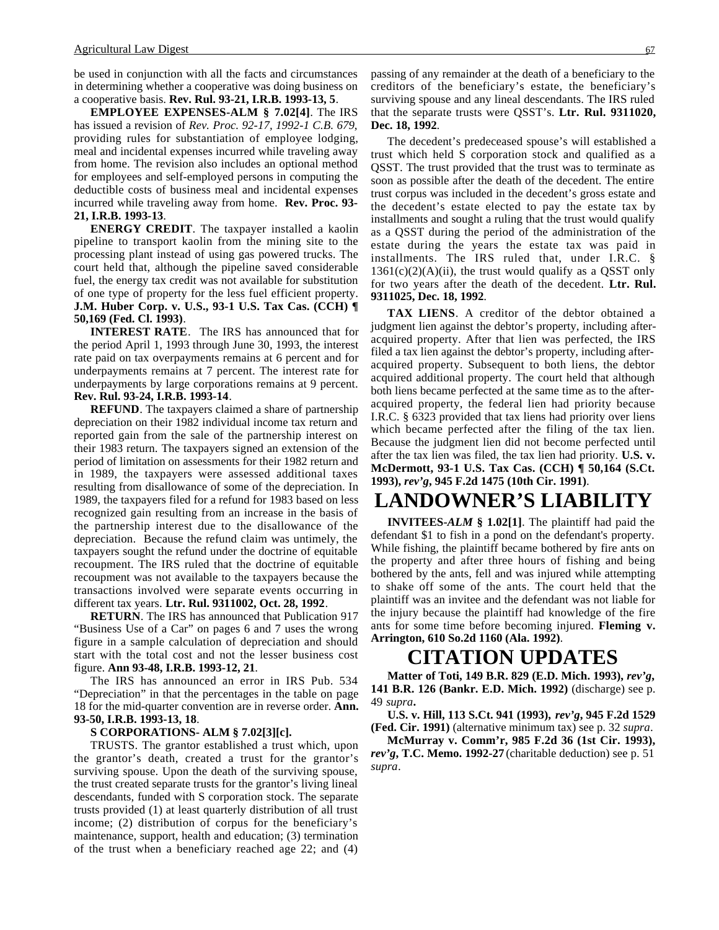be used in conjunction with all the facts and circumstances in determining whether a cooperative was doing business on a cooperative basis. **Rev. Rul. 93-21, I.R.B. 1993-13, 5**.

**EMPLOYEE EXPENSES-ALM § 7.02[4]**. The IRS has issued a revision of *Rev. Proc. 92-17, 1992-1 C.B. 679*, providing rules for substantiation of employee lodging, meal and incidental expenses incurred while traveling away from home. The revision also includes an optional method for employees and self-employed persons in computing the deductible costs of business meal and incidental expenses incurred while traveling away from home. **Rev. Proc. 93- 21, I.R.B. 1993-13**.

**ENERGY CREDIT**. The taxpayer installed a kaolin pipeline to transport kaolin from the mining site to the processing plant instead of using gas powered trucks. The court held that, although the pipeline saved considerable fuel, the energy tax credit was not available for substitution of one type of property for the less fuel efficient property. **J.M. Huber Corp. v. U.S., 93-1 U.S. Tax Cas. (CCH) ¶ 50,169 (Fed. Cl. 1993)**.

**INTEREST RATE**. The IRS has announced that for the period April 1, 1993 through June 30, 1993, the interest rate paid on tax overpayments remains at 6 percent and for underpayments remains at 7 percent. The interest rate for underpayments by large corporations remains at 9 percent. **Rev. Rul. 93-24, I.R.B. 1993-14**.

**REFUND**. The taxpayers claimed a share of partnership depreciation on their 1982 individual income tax return and reported gain from the sale of the partnership interest on their 1983 return. The taxpayers signed an extension of the period of limitation on assessments for their 1982 return and in 1989, the taxpayers were assessed additional taxes resulting from disallowance of some of the depreciation. In 1989, the taxpayers filed for a refund for 1983 based on less recognized gain resulting from an increase in the basis of the partnership interest due to the disallowance of the depreciation. Because the refund claim was untimely, the taxpayers sought the refund under the doctrine of equitable recoupment. The IRS ruled that the doctrine of equitable recoupment was not available to the taxpayers because the transactions involved were separate events occurring in different tax years. **Ltr. Rul. 9311002, Oct. 28, 1992**.

**RETURN**. The IRS has announced that Publication 917 "Business Use of a Car" on pages 6 and 7 uses the wrong figure in a sample calculation of depreciation and should start with the total cost and not the lesser business cost figure. **Ann 93-48, I.R.B. 1993-12, 21**.

The IRS has announced an error in IRS Pub. 534 "Depreciation" in that the percentages in the table on page 18 for the mid-quarter convention are in reverse order. **Ann. 93-50, I.R.B. 1993-13, 18**.

#### **S CORPORATIONS- ALM § 7.02[3][c].**

TRUSTS. The grantor established a trust which, upon the grantor's death, created a trust for the grantor's surviving spouse. Upon the death of the surviving spouse, the trust created separate trusts for the grantor's living lineal descendants, funded with S corporation stock. The separate trusts provided (1) at least quarterly distribution of all trust income; (2) distribution of corpus for the beneficiary's maintenance, support, health and education; (3) termination of the trust when a beneficiary reached age 22; and (4) passing of any remainder at the death of a beneficiary to the creditors of the beneficiary's estate, the beneficiary's surviving spouse and any lineal descendants. The IRS ruled that the separate trusts were QSST's. **Ltr. Rul. 9311020, Dec. 18, 1992**.

The decedent's predeceased spouse's will established a trust which held S corporation stock and qualified as a QSST. The trust provided that the trust was to terminate as soon as possible after the death of the decedent. The entire trust corpus was included in the decedent's gross estate and the decedent's estate elected to pay the estate tax by installments and sought a ruling that the trust would qualify as a QSST during the period of the administration of the estate during the years the estate tax was paid in installments. The IRS ruled that, under I.R.C. §  $1361(c)(2)(A)(ii)$ , the trust would qualify as a QSST only for two years after the death of the decedent. **Ltr. Rul. 9311025, Dec. 18, 1992**.

**TAX LIENS**. A creditor of the debtor obtained a judgment lien against the debtor's property, including afteracquired property. After that lien was perfected, the IRS filed a tax lien against the debtor's property, including afteracquired property. Subsequent to both liens, the debtor acquired additional property. The court held that although both liens became perfected at the same time as to the afteracquired property, the federal lien had priority because I.R.C. § 6323 provided that tax liens had priority over liens which became perfected after the filing of the tax lien. Because the judgment lien did not become perfected until after the tax lien was filed, the tax lien had priority. **U.S. v. McDermott, 93-1 U.S. Tax Cas. (CCH) ¶ 50,164 (S.Ct. 1993),** *rev'g***, 945 F.2d 1475 (10th Cir. 1991)**.

## **LANDOWNER'S LIABILITY**

**INVITEES-***ALM* **§ 1.02[1]**. The plaintiff had paid the defendant \$1 to fish in a pond on the defendant's property. While fishing, the plaintiff became bothered by fire ants on the property and after three hours of fishing and being bothered by the ants, fell and was injured while attempting to shake off some of the ants. The court held that the plaintiff was an invitee and the defendant was not liable for the injury because the plaintiff had knowledge of the fire ants for some time before becoming injured. **Fleming v. Arrington, 610 So.2d 1160 (Ala. 1992)**.

### **CITATION UPDATES**

**Matter of Toti, 149 B.R. 829 (E.D. Mich. 1993),** *rev'g***, 141 B.R. 126 (Bankr. E.D. Mich. 1992)** (discharge) see p. 49 *supra***.**

**U.S. v. Hill, 113 S.Ct. 941 (1993),** *rev'g***, 945 F.2d 1529 (Fed. Cir. 1991)** (alternative minimum tax) see p. 32 *supra*.

**McMurray v. Comm'r, 985 F.2d 36 (1st Cir. 1993),** *rev'g***, T.C. Memo. 1992-27** (charitable deduction) see p. 51 *supra*.